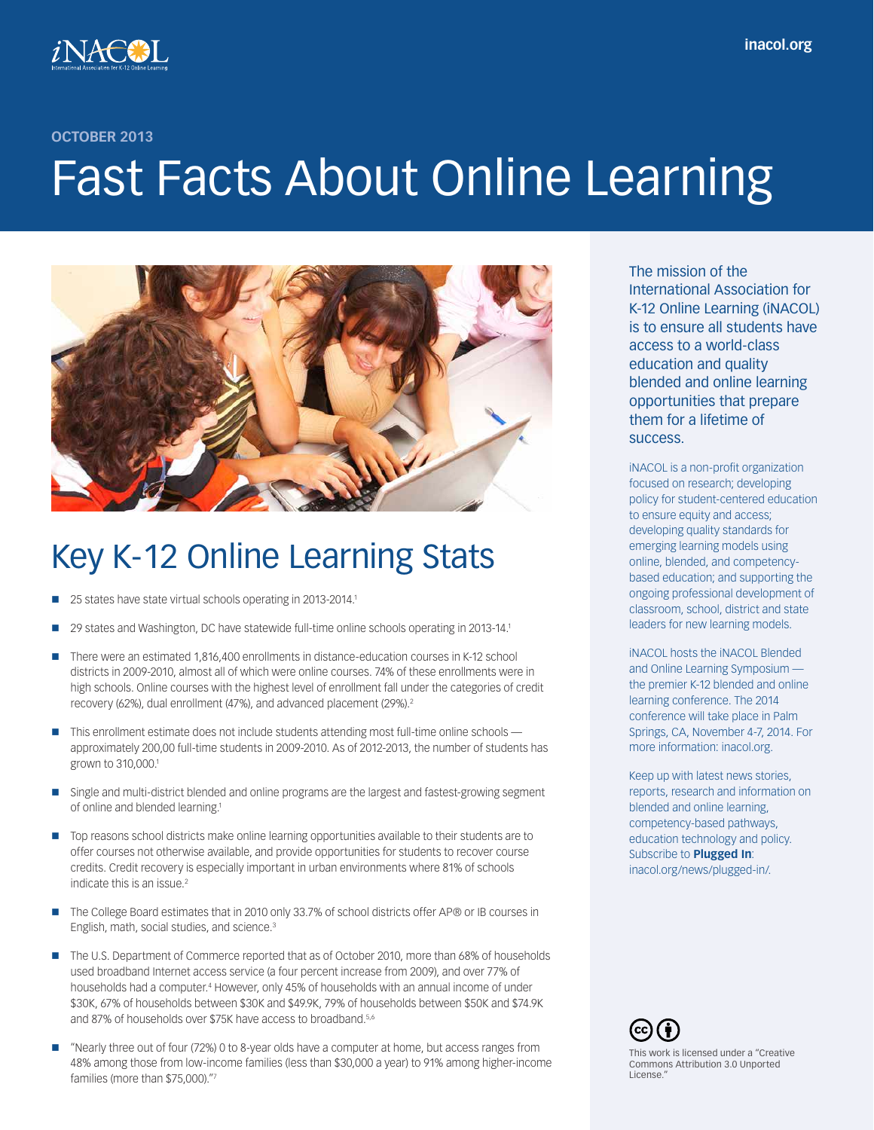

**OCTOBER 2013**

# Fast Facts About Online Learning



# Key K-12 Online Learning Stats

- 25 states have state virtual schools operating in 2013-2014.1
- 29 states and Washington, DC have statewide full-time online schools operating in 2013-14.1
- There were an estimated 1,816,400 enrollments in distance-education courses in K-12 school districts in 2009-2010, almost all of which were online courses. 74% of these enrollments were in high schools. Online courses with the highest level of enrollment fall under the categories of credit recovery (62%), dual enrollment (47%), and advanced placement (29%).2
- $\blacksquare$  This enrollment estimate does not include students attending most full-time online schools  $\blacksquare$ approximately 200,00 full-time students in 2009-2010. As of 2012-2013, the number of students has grown to 310,000.1
- **Single and multi-district blended and online programs are the largest and fastest-growing segment** of online and blended learning.1
- Top reasons school districts make online learning opportunities available to their students are to offer courses not otherwise available, and provide opportunities for students to recover course credits. Credit recovery is especially important in urban environments where 81% of schools indicate this is an issue.<sup>2</sup>
- The College Board estimates that in 2010 only 33.7% of school districts offer AP® or IB courses in English, math, social studies, and science.3
- The U.S. Department of Commerce reported that as of October 2010, more than 68% of households used broadband Internet access service (a four percent increase from 2009), and over 77% of households had a computer.4 However, only 45% of households with an annual income of under \$30K, 67% of households between \$30K and \$49.9K, 79% of households between \$50K and \$74.9K and 87% of households over \$75K have access to broadband.<sup>5,6</sup>
- "Nearly three out of four (72%) 0 to 8-year olds have a computer at home, but access ranges from 48% among those from low-income families (less than \$30,000 a year) to 91% among higher-income families (more than \$75,000)."7

The mission of the International Association for K-12 Online Learning (iNACOL) is to ensure all students have access to a world-class education and quality blended and online learning opportunities that prepare them for a lifetime of success.

iNACOL is a non-profit organization focused on research; developing policy for student-centered education to ensure equity and access; developing quality standards for emerging learning models using online, blended, and competencybased education; and supporting the ongoing professional development of classroom, school, district and state leaders for new learning models.

iNACOL hosts the iNACOL Blended and Online Learning Symposium the premier K-12 blended and online learning conference. The 2014 conference will take place in Palm Springs, CA, November 4-7, 2014. For more information: inacol.org.

Keep up with latest news stories, reports, research and information on blended and online learning, competency-based pathways, education technology and policy. Subscribe to **Plugged In**: inacol.org/news/plugged-in/.

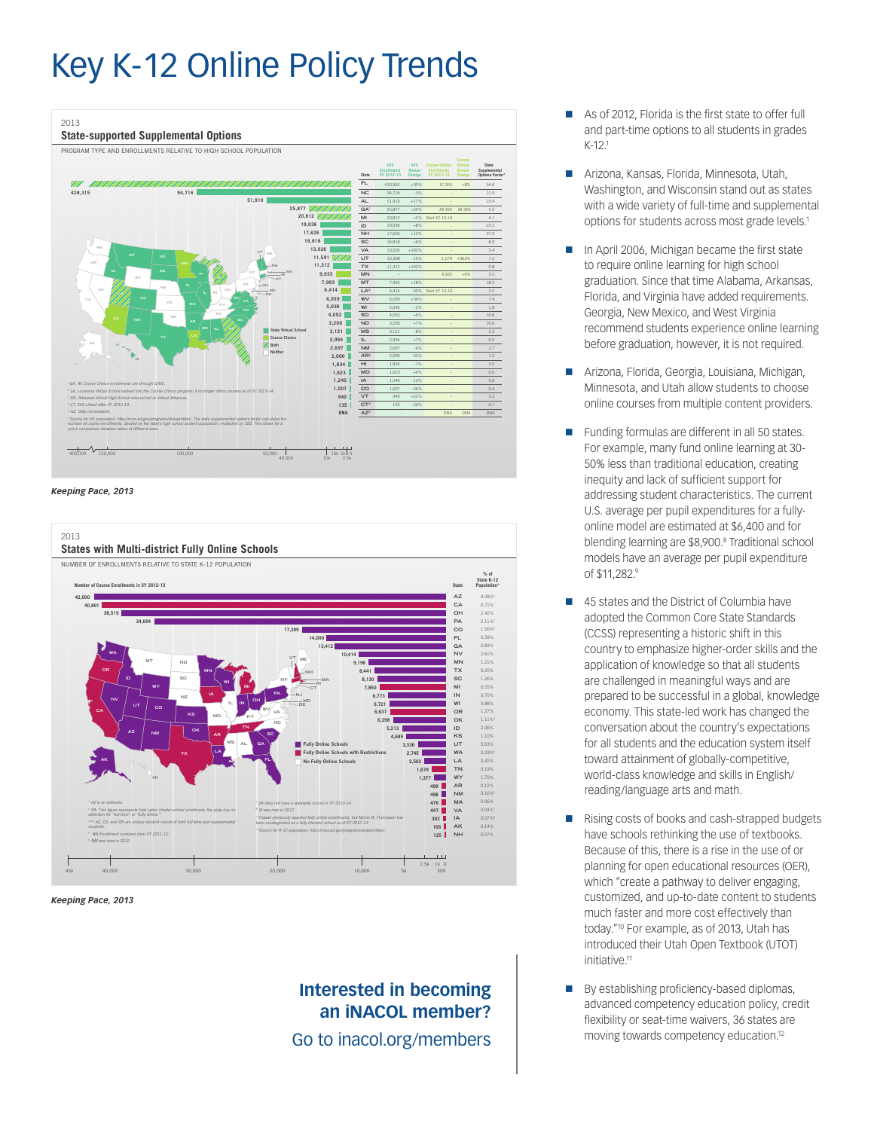# Key K-12 Online Policy Trends







*Keeping Pace, 2013*

## **Interested in becoming an iNACOL member?**

Go to inacol.org/members

- As of 2012, Florida is the first state to offer full and part-time options to all students in grades K-12.1
- Arizona, Kansas, Florida, Minnesota, Utah, Washington, and Wisconsin stand out as states with a wide variety of full-time and supplemental options for students across most grade levels.<sup>1</sup>
- In April 2006, Michigan became the first state to require online learning for high school graduation. Since that time Alabama, Arkansas, Florida, and Virginia have added requirements. Georgia, New Mexico, and West Virginia recommend students experience online learning before graduation, however, it is not required.
- Arizona, Florida, Georgia, Louisiana, Michigan, Minnesota, and Utah allow students to choose online courses from multiple content providers.
- Funding formulas are different in all 50 states. For example, many fund online learning at 30- 50% less than traditional education, creating inequity and lack of sufficient support for addressing student characteristics. The current U.S. average per pupil expenditures for a fullyonline model are estimated at \$6,400 and for blending learning are \$8,900.8 Traditional school models have an average per pupil expenditure of \$11,282.9
- 45 states and the District of Columbia have adopted the Common Core State Standards (CCSS) representing a historic shift in this country to emphasize higher-order skills and the application of knowledge so that all students are challenged in meaningful ways and are prepared to be successful in a global, knowledge economy. This state-led work has changed the conversation about the country's expectations for all students and the education system itself toward attainment of globally-competitive, world-class knowledge and skills in English/ reading/language arts and math.
- Rising costs of books and cash-strapped budgets have schools rethinking the use of textbooks. Because of this, there is a rise in the use of or planning for open educational resources (OER), which "create a pathway to deliver engaging, customized, and up-to-date content to students much faster and more cost effectively than today."10 For example, as of 2013, Utah has introduced their Utah Open Textbook (UTOT) initiative.<sup>11</sup>
- By establishing proficiency-based diplomas, advanced competency education policy, credit flexibility or seat-time waivers, 36 states are moving towards competency education.12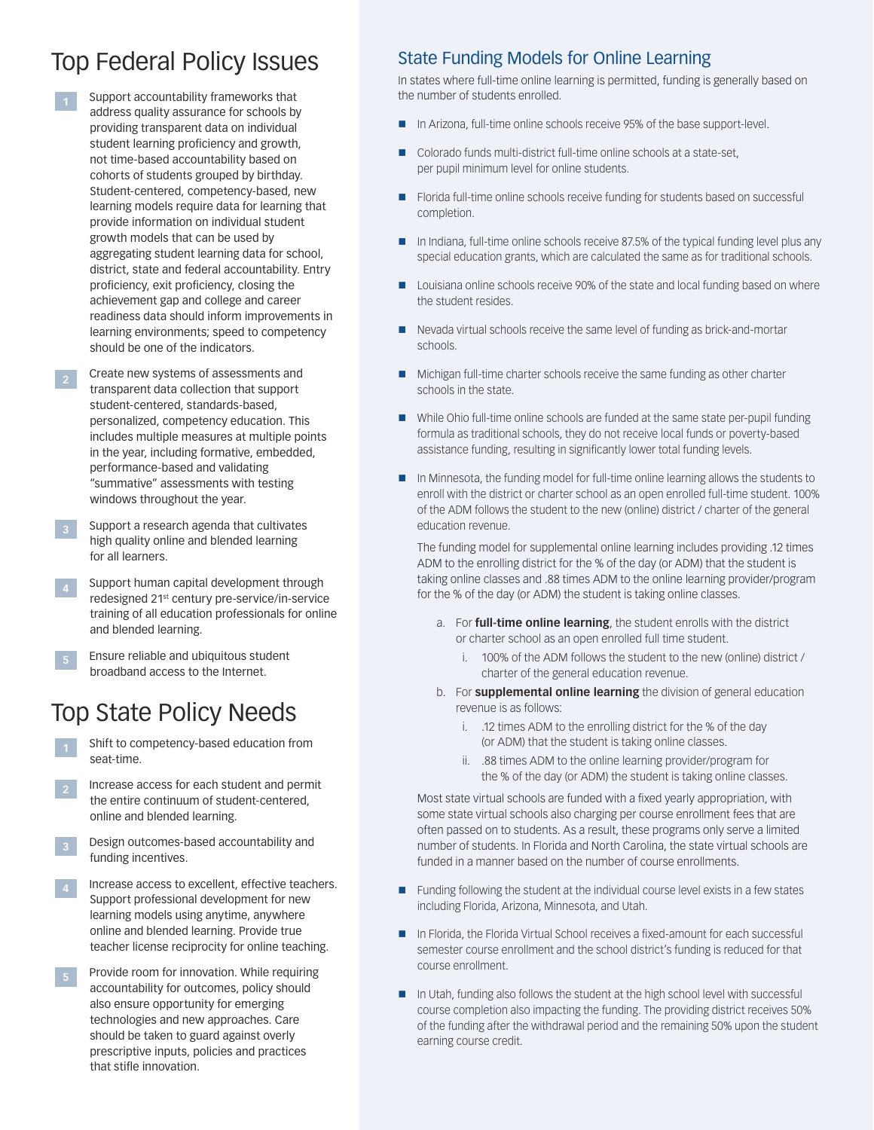## Top Federal Policy Issues State Funding Models for Online Learning

- **<sup>1</sup>** Support accountability frameworks that address quality assurance for schools by providing transparent data on individual student learning proficiency and growth, not time-based accountability based on cohorts of students grouped by birthday. Student-centered, competency-based, new learning models require data for learning that provide information on individual student growth models that can be used by aggregating student learning data for school, district, state and federal accountability. Entry proficiency, exit proficiency, closing the achievement gap and college and career readiness data should inform improvements in learning environments; speed to competency should be one of the indicators.
- **2** Create new systems of assessments and transparent data collection that support student-centered, standards-based, personalized, competency education. This includes multiple measures at multiple points in the year, including formative, embedded, performance-based and validating "summative" assessments with testing windows throughout the year.
- **3** Support a research agenda that cultivates high quality online and blended learning for all learners.
- **<sup>4</sup>** Support human capital development through redesigned 21st century pre-service/in-service training of all education professionals for online and blended learning.
- **5** Ensure reliable and ubiquitous student broadband access to the Internet.

## Top State Policy Needs

- **<sup>1</sup>** Shift to competency-based education from seat-time.
- **2** Increase access for each student and permit the entire continuum of student-centered, online and blended learning.
- **<sup>3</sup>** Design outcomes-based accountability and funding incentives.
- **4** Increase access to excellent, effective teachers. Support professional development for new learning models using anytime, anywhere online and blended learning. Provide true teacher license reciprocity for online teaching.
- **5** Provide room for innovation. While requiring accountability for outcomes, policy should also ensure opportunity for emerging technologies and new approaches. Care should be taken to guard against overly prescriptive inputs, policies and practices that stifle innovation.

In states where full-time online learning is permitted, funding is generally based on the number of students enrolled.

- In Arizona, full-time online schools receive 95% of the base support-level.
- Colorado funds multi-district full-time online schools at a state-set, per pupil minimum level for online students.
- Florida full-time online schools receive funding for students based on successful completion.
- In Indiana, full-time online schools receive 87.5% of the typical funding level plus any special education grants, which are calculated the same as for traditional schools.
- **Louisiana online schools receive 90% of the state and local funding based on where** the student resides.
- Nevada virtual schools receive the same level of funding as brick-and-mortar schools.
- Michigan full-time charter schools receive the same funding as other charter schools in the state.
- While Ohio full-time online schools are funded at the same state per-pupil funding formula as traditional schools, they do not receive local funds or poverty-based assistance funding, resulting in significantly lower total funding levels.
- In Minnesota, the funding model for full-time online learning allows the students to enroll with the district or charter school as an open enrolled full-time student. 100% of the ADM follows the student to the new (online) district / charter of the general education revenue.

The funding model for supplemental online learning includes providing .12 times ADM to the enrolling district for the % of the day (or ADM) that the student is taking online classes and .88 times ADM to the online learning provider/program for the % of the day (or ADM) the student is taking online classes.

- a. For **full-time online learning**, the student enrolls with the district or charter school as an open enrolled full time student.
	- i. 100% of the ADM follows the student to the new (online) district / charter of the general education revenue.
- b. For **supplemental online learning** the division of general education revenue is as follows:
	- i. .12 times ADM to the enrolling district for the % of the day (or ADM) that the student is taking online classes.
	- ii. .88 times ADM to the online learning provider/program for the % of the day (or ADM) the student is taking online classes.

Most state virtual schools are funded with a fixed yearly appropriation, with some state virtual schools also charging per course enrollment fees that are often passed on to students. As a result, these programs only serve a limited number of students. In Florida and North Carolina, the state virtual schools are funded in a manner based on the number of course enrollments.

- Funding following the student at the individual course level exists in a few states including Florida, Arizona, Minnesota, and Utah.
- In Florida, the Florida Virtual School receives a fixed-amount for each successful semester course enrollment and the school district's funding is reduced for that course enrollment.
- In Utah, funding also follows the student at the high school level with successful course completion also impacting the funding. The providing district receives 50% of the funding after the withdrawal period and the remaining 50% upon the student earning course credit.